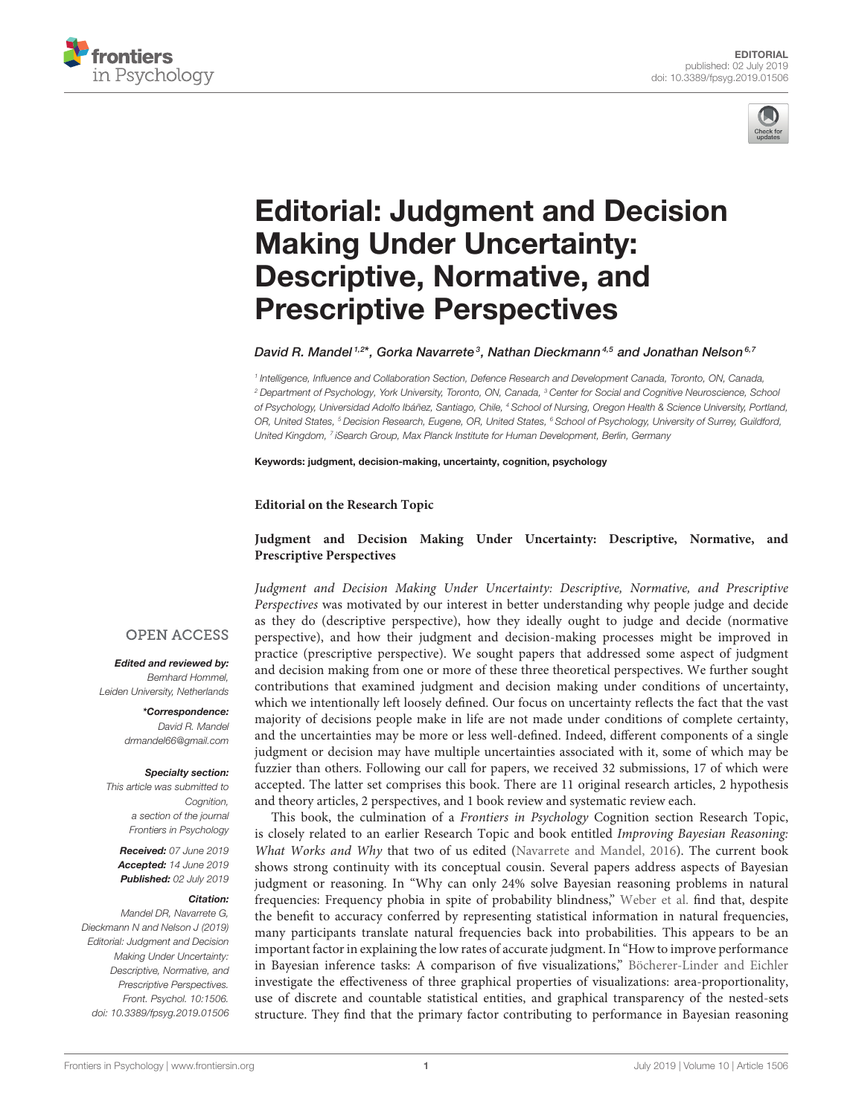



# [Editorial: Judgment and Decision](https://www.frontiersin.org/articles/10.3389/fpsyg.2019.01506/full) Making Under Uncertainty: Descriptive, Normative, and Prescriptive Perspectives

[David R. Mandel](http://loop.frontiersin.org/people/111290/overview) 1,2\*, [Gorka Navarrete](http://loop.frontiersin.org/people/36768/overview)<sup>3</sup>, Nathan Dieckmann<sup>4,5</sup> and [Jonathan Nelson](http://loop.frontiersin.org/people/14484/overview)<sup>6,7</sup>

1 Intelligence, Influence and Collaboration Section, Defence Research and Development Canada, Toronto, ON, Canada, <sup>2</sup> Department of Psychology, York University, Toronto, ON, Canada, <sup>3</sup> Center for Social and Cognitive Neuroscience, School of Psychology, Universidad Adolfo Ibáñez, Santiago, Chile, <sup>4</sup> School of Nursing, Oregon Health & Science University, Portland, OR, United States, <sup>5</sup> Decision Research, Eugene, OR, United States, <sup>6</sup> School of Psychology, University of Surrey, Guildford, United Kingdom, <sup>7</sup> iSearch Group, Max Planck Institute for Human Development, Berlin, Germany

Keywords: judgment, decision-making, uncertainty, cognition, psychology

**Editorial on the Research Topic**

### **[Judgment and Decision Making Under Uncertainty: Descriptive, Normative, and](https://www.frontiersin.org/research-topics/6315/judgment-and-decision-making-under-uncertainty-descriptive-normative-and-prescriptive-perspectives) Prescriptive Perspectives**

Judgment and Decision Making Under Uncertainty: Descriptive, Normative, and Prescriptive Perspectives was motivated by our interest in better understanding why people judge and decide as they do (descriptive perspective), how they ideally ought to judge and decide (normative perspective), and how their judgment and decision-making processes might be improved in practice (prescriptive perspective). We sought papers that addressed some aspect of judgment and decision making from one or more of these three theoretical perspectives. We further sought contributions that examined judgment and decision making under conditions of uncertainty, which we intentionally left loosely defined. Our focus on uncertainty reflects the fact that the vast majority of decisions people make in life are not made under conditions of complete certainty, and the uncertainties may be more or less well-defined. Indeed, different components of a single judgment or decision may have multiple uncertainties associated with it, some of which may be fuzzier than others. Following our call for papers, we received 32 submissions, 17 of which were accepted. The latter set comprises this book. There are 11 original research articles, 2 hypothesis and theory articles, 2 perspectives, and 1 book review and systematic review each.

This book, the culmination of a Frontiers in Psychology Cognition section Research Topic, is closely related to an earlier Research Topic and book entitled Improving Bayesian Reasoning: What Works and Why that two of us edited [\(Navarrete and Mandel, 2016\)](#page-2-0). The current book shows strong continuity with its conceptual cousin. Several papers address aspects of Bayesian judgment or reasoning. In "Why can only 24% solve Bayesian reasoning problems in natural frequencies: Frequency phobia in spite of probability blindness," [Weber et al.](https://doi.org/10.3389/fpsyg.2018.01833) find that, despite the benefit to accuracy conferred by representing statistical information in natural frequencies, many participants translate natural frequencies back into probabilities. This appears to be an important factor in explaining the low rates of accurate judgment. In "How to improve performance in Bayesian inference tasks: A comparison of five visualizations," [Böcherer-Linder and Eichler](https://doi.org/10.3389/fpsyg.2019.00267) investigate the effectiveness of three graphical properties of visualizations: area-proportionality, use of discrete and countable statistical entities, and graphical transparency of the nested-sets structure. They find that the primary factor contributing to performance in Bayesian reasoning

## **OPEN ACCESS**

Edited and reviewed by: Bernhard Hommel, Leiden University, Netherlands

> \*Correspondence: David R. Mandel [drmandel66@gmail.com](mailto:drmandel66@gmail.com)

#### Specialty section:

This article was submitted to Cognition. a section of the journal Frontiers in Psychology

Received: 07 June 2019 Accepted: 14 June 2019 Published: 02 July 2019

#### Citation:

Mandel DR, Navarrete G, Dieckmann N and Nelson J (2019) Editorial: Judgment and Decision Making Under Uncertainty: Descriptive, Normative, and Prescriptive Perspectives. Front. Psychol. 10:1506. doi: [10.3389/fpsyg.2019.01506](https://doi.org/10.3389/fpsyg.2019.01506)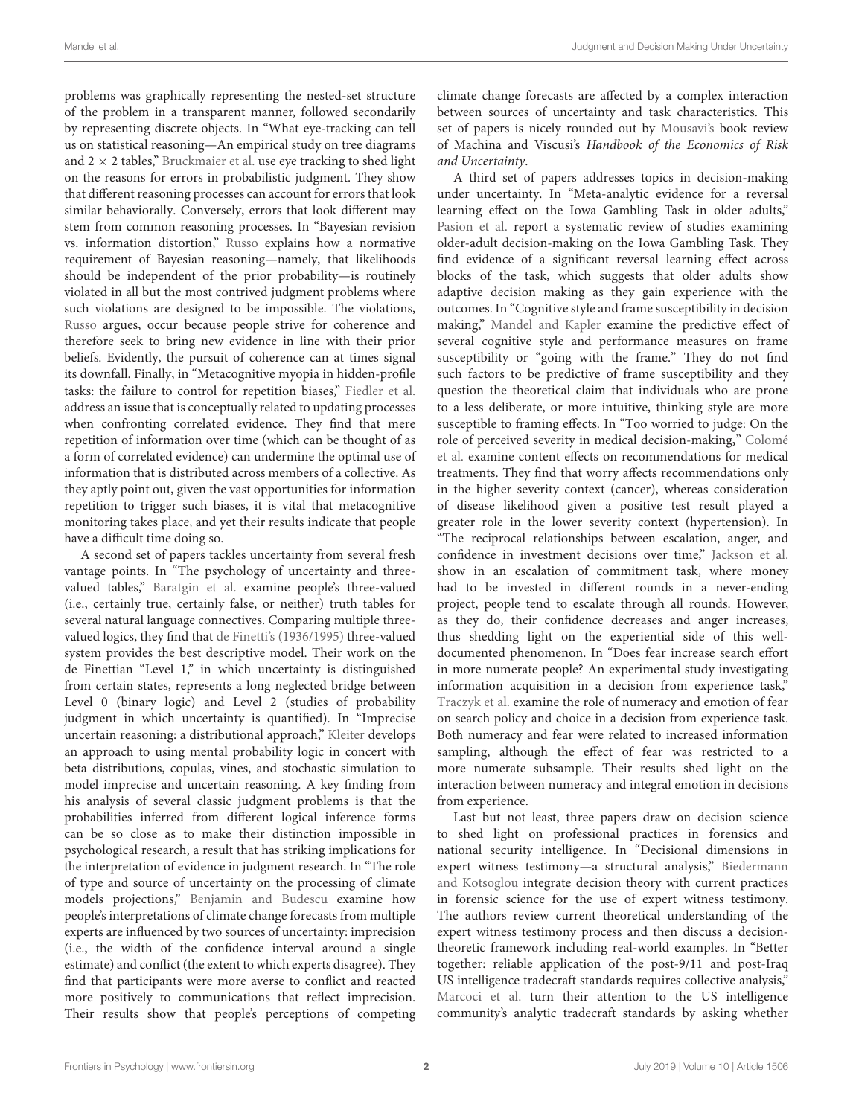problems was graphically representing the nested-set structure of the problem in a transparent manner, followed secondarily by representing discrete objects. In "What eye-tracking can tell us on statistical reasoning—An empirical study on tree diagrams and  $2 \times 2$  tables," [Bruckmaier et al.](https://doi.org/10.3389/fpsyg.2019.00632) use eye tracking to shed light on the reasons for errors in probabilistic judgment. They show that different reasoning processes can account for errors that look similar behaviorally. Conversely, errors that look different may stem from common reasoning processes. In "Bayesian revision vs. information distortion," [Russo](https://doi.org/10.3389/fpsyg.2018.01550) explains how a normative requirement of Bayesian reasoning—namely, that likelihoods should be independent of the prior probability—is routinely violated in all but the most contrived judgment problems where such violations are designed to be impossible. The violations, [Russo](https://doi.org/10.3389/fpsyg.2018.01550) argues, occur because people strive for coherence and therefore seek to bring new evidence in line with their prior beliefs. Evidently, the pursuit of coherence can at times signal its downfall. Finally, in "Metacognitive myopia in hidden-profile tasks: the failure to control for repetition biases," [Fiedler et al.](https://doi.org/10.3389/fpsyg.2018.00903) address an issue that is conceptually related to updating processes when confronting correlated evidence. They find that mere repetition of information over time (which can be thought of as a form of correlated evidence) can undermine the optimal use of information that is distributed across members of a collective. As they aptly point out, given the vast opportunities for information repetition to trigger such biases, it is vital that metacognitive monitoring takes place, and yet their results indicate that people have a difficult time doing so.

A second set of papers tackles uncertainty from several fresh vantage points. In "The psychology of uncertainty and threevalued tables," [Baratgin et al.](https://doi.org/10.3389/fpsyg.2018.01479) examine people's three-valued (i.e., certainly true, certainly false, or neither) truth tables for several natural language connectives. Comparing multiple threevalued logics, they find that [de Finetti's \(1936/1995\)](#page-2-1) three-valued system provides the best descriptive model. Their work on the de Finettian "Level 1," in which uncertainty is distinguished from certain states, represents a long neglected bridge between Level 0 (binary logic) and Level 2 (studies of probability judgment in which uncertainty is quantified). In "Imprecise uncertain reasoning: a distributional approach," [Kleiter](https://doi.org/10.3389/fpsyg.2018.02051) develops an approach to using mental probability logic in concert with beta distributions, copulas, vines, and stochastic simulation to model imprecise and uncertain reasoning. A key finding from his analysis of several classic judgment problems is that the probabilities inferred from different logical inference forms can be so close as to make their distinction impossible in psychological research, a result that has striking implications for the interpretation of evidence in judgment research. In "The role of type and source of uncertainty on the processing of climate models projections," [Benjamin and Budescu](https://doi.org/10.3389/fpsyg.2018.00403) examine how people's interpretations of climate change forecasts from multiple experts are influenced by two sources of uncertainty: imprecision (i.e., the width of the confidence interval around a single estimate) and conflict (the extent to which experts disagree). They find that participants were more averse to conflict and reacted more positively to communications that reflect imprecision. Their results show that people's perceptions of competing climate change forecasts are affected by a complex interaction between sources of uncertainty and task characteristics. This set of papers is nicely rounded out by [Mousavi's](https://doi.org/10.3389/fpsyg.2018.00730) book review of Machina and Viscusi's Handbook of the Economics of Risk and Uncertainty.

A third set of papers addresses topics in decision-making under uncertainty. In "Meta-analytic evidence for a reversal learning effect on the Iowa Gambling Task in older adults," [Pasion et al.](https://doi.org/10.3389/fpsyg.2017.01785) report a systematic review of studies examining older-adult decision-making on the Iowa Gambling Task. They find evidence of a significant reversal learning effect across blocks of the task, which suggests that older adults show adaptive decision making as they gain experience with the outcomes. In "Cognitive style and frame susceptibility in decision making," [Mandel and Kapler](https://doi.org/10.3389/fpsyg.2018.01461) examine the predictive effect of several cognitive style and performance measures on frame susceptibility or "going with the frame." They do not find such factors to be predictive of frame susceptibility and they question the theoretical claim that individuals who are prone to a less deliberate, or more intuitive, thinking style are more susceptible to framing effects. In "Too worried to judge: On the [role of perceived severity in medical decision-making](https://doi.org/10.3389/fpsyg.2018.01906)**,**" Colomé et al. examine content effects on recommendations for medical treatments. They find that worry affects recommendations only in the higher severity context (cancer), whereas consideration of disease likelihood given a positive test result played a greater role in the lower severity context (hypertension). In "The reciprocal relationships between escalation, anger, and confidence in investment decisions over time," [Jackson et al.](https://doi.org/10.3389/fpsyg.2018.01136) show in an escalation of commitment task, where money had to be invested in different rounds in a never-ending project, people tend to escalate through all rounds. However, as they do, their confidence decreases and anger increases, thus shedding light on the experiential side of this welldocumented phenomenon. In "Does fear increase search effort in more numerate people? An experimental study investigating information acquisition in a decision from experience task," [Traczyk et al.](https://doi.org/10.3389/fpsyg.2018.01203) examine the role of numeracy and emotion of fear on search policy and choice in a decision from experience task. Both numeracy and fear were related to increased information sampling, although the effect of fear was restricted to a more numerate subsample. Their results shed light on the interaction between numeracy and integral emotion in decisions from experience.

Last but not least, three papers draw on decision science to shed light on professional practices in forensics and national security intelligence. In "Decisional dimensions in [expert witness testimony—a structural analysis,"](https://doi.org/10.3389/fpsyg.2018.02073) Biedermann and Kotsoglou integrate decision theory with current practices in forensic science for the use of expert witness testimony. The authors review current theoretical understanding of the expert witness testimony process and then discuss a decisiontheoretic framework including real-world examples. In "Better together: reliable application of the post-9/11 and post-Iraq US intelligence tradecraft standards requires collective analysis," [Marcoci et al.](https://doi.org/10.3389/fpsyg.2018.02634) turn their attention to the US intelligence community's analytic tradecraft standards by asking whether